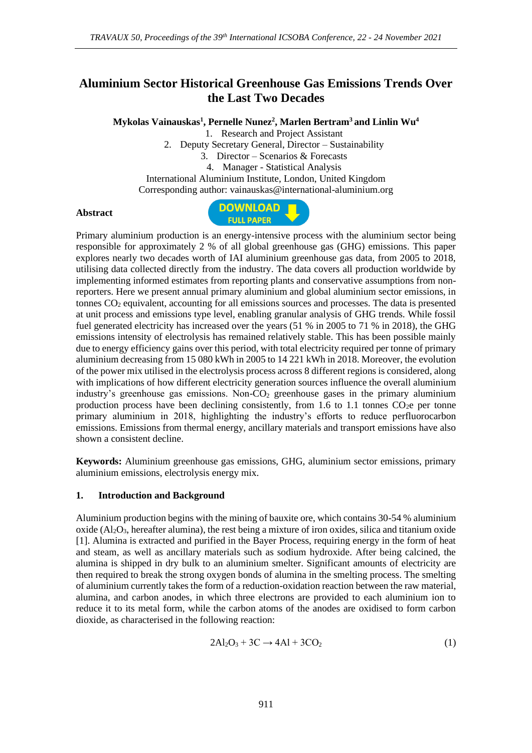# **Aluminium Sector Historical Greenhouse Gas Emissions Trends Over the Last Two Decades**

**Mykolas Vainauskas<sup>1</sup> , Pernelle Nunez<sup>2</sup> , Marlen Bertram<sup>3</sup> and Linlin Wu<sup>4</sup>**

1. Research and Project Assistant

2. Deputy Secretary General, Director – Sustainability

3. Director – Scenarios & Forecasts

4. Manager - Statistical Analysis

International Aluminium Institute, London, United Kingdom

Corresponding author: vainauskas@international-aluminium.org

#### **Abstract**



Primary aluminium production is an energy-intensive process with the aluminium sector being responsible for approximately 2 % of all global greenhouse gas (GHG) emissions. This paper explores nearly two decades worth of IAI aluminium greenhouse gas data, from 2005 to 2018, utilising data collected directly from the industry. The data covers all production worldwide by implementing informed estimates from reporting plants and conservative assumptions from nonreporters. Here we present annual primary aluminium and global aluminium sector emissions, in tonnes CO<sup>2</sup> equivalent, accounting for all emissions sources and processes. The data is presented at unit process and emissions type level, enabling granular analysis of GHG trends. While fossil fuel generated electricity has increased over the years (51 % in 2005 to 71 % in 2018), the GHG emissions intensity of electrolysis has remained relatively stable. This has been possible mainly due to energy efficiency gains over this period, with total electricity required per tonne of primary aluminium decreasing from 15 080 kWh in 2005 to 14 221 kWh in 2018. Moreover, the evolution of the power mix utilised in the electrolysis process across 8 different regions is considered, along with implications of how different electricity generation sources influence the overall aluminium industry's greenhouse gas emissions. Non- $CO<sub>2</sub>$  greenhouse gases in the primary aluminium production process have been declining consistently, from 1.6 to 1.1 tonnes  $CO<sub>2</sub>e$  per tonne primary aluminium in 2018, highlighting the industry's efforts to reduce perfluorocarbon emissions. Emissions from thermal energy, ancillary materials and transport emissions have also shown a consistent decline.

**Keywords:** Aluminium greenhouse gas emissions, GHG, aluminium sector emissions, primary aluminium emissions, electrolysis energy mix.

#### **1. Introduction and Background**

Aluminium production begins with the mining of bauxite ore, which contains 30-54 % aluminium oxide  $(A_2O_3)$ , hereafter alumina), the rest being a mixture of iron oxides, silica and titanium oxide [1]. Alumina is extracted and purified in the Bayer Process, requiring energy in the form of heat and steam, as well as ancillary materials such as sodium hydroxide. After being calcined, the alumina is shipped in dry bulk to an aluminium smelter. Significant amounts of electricity are then required to break the strong oxygen bonds of alumina in the smelting process. The smelting of aluminium currently takes the form of a reduction-oxidation reaction between the raw material, alumina, and carbon anodes, in which three electrons are provided to each aluminium ion to reduce it to its metal form, while the carbon atoms of the anodes are oxidised to form carbon dioxide, as characterised in the following reaction:

$$
2Al_2O_3 + 3C \rightarrow 4Al + 3CO_2 \tag{1}
$$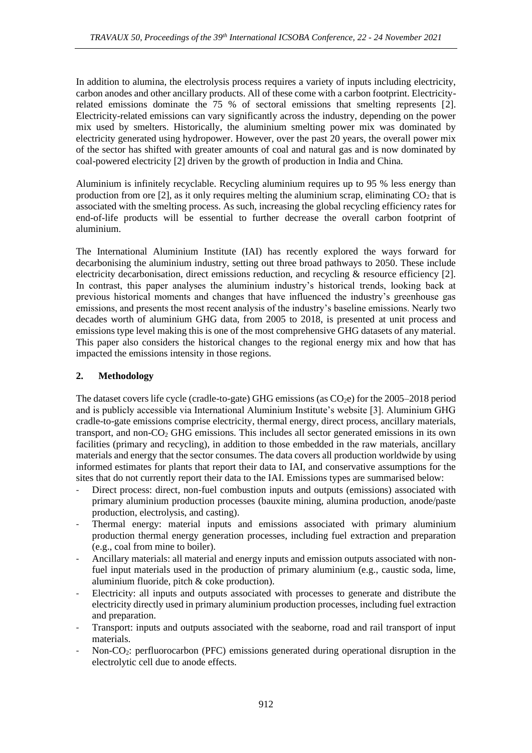In addition to alumina, the electrolysis process requires a variety of inputs including electricity, carbon anodes and other ancillary products. All of these come with a carbon footprint. Electricityrelated emissions dominate the 75 % of sectoral emissions that smelting represents [2]. Electricity-related emissions can vary significantly across the industry, depending on the power mix used by smelters. Historically, the aluminium smelting power mix was dominated by electricity generated using hydropower. However, over the past 20 years, the overall power mix of the sector has shifted with greater amounts of coal and natural gas and is now dominated by coal-powered electricity [2] driven by the growth of production in India and China.

Aluminium is infinitely recyclable. Recycling aluminium requires up to 95 % less energy than production from ore [2], as it only requires melting the aluminium scrap, eliminating  $CO<sub>2</sub>$  that is associated with the smelting process. As such, increasing the global recycling efficiency rates for end-of-life products will be essential to further decrease the overall carbon footprint of aluminium.

The International Aluminium Institute (IAI) has recently explored the ways forward for decarbonising the aluminium industry, setting out three broad pathways to 2050. These include electricity decarbonisation, direct emissions reduction, and recycling & resource efficiency [2]. In contrast, this paper analyses the aluminium industry's historical trends, looking back at previous historical moments and changes that have influenced the industry's greenhouse gas emissions, and presents the most recent analysis of the industry's baseline emissions. Nearly two decades worth of aluminium GHG data, from 2005 to 2018, is presented at unit process and emissions type level making this is one of the most comprehensive GHG datasets of any material. This paper also considers the historical changes to the regional energy mix and how that has impacted the emissions intensity in those regions.

## **2. Methodology**

The dataset covers life cycle (cradle-to-gate) GHG emissions (as CO<sub>2</sub>e) for the 2005–2018 period and is publicly accessible via International Aluminium Institute's website [3]. Aluminium GHG cradle-to-gate emissions comprise electricity, thermal energy, direct process, ancillary materials, transport, and non-CO<sup>2</sup> GHG emissions. This includes all sector generated emissions in its own facilities (primary and recycling), in addition to those embedded in the raw materials, ancillary materials and energy that the sector consumes. The data covers all production worldwide by using informed estimates for plants that report their data to IAI, and conservative assumptions for the sites that do not currently report their data to the IAI. Emissions types are summarised below:

- Direct process: direct, non-fuel combustion inputs and outputs (emissions) associated with primary aluminium production processes (bauxite mining, alumina production, anode/paste production, electrolysis, and casting).
- Thermal energy: material inputs and emissions associated with primary aluminium production thermal energy generation processes, including fuel extraction and preparation (e.g., coal from mine to boiler).
- Ancillary materials: all material and energy inputs and emission outputs associated with nonfuel input materials used in the production of primary aluminium (e.g., caustic soda, lime, aluminium fluoride, pitch & coke production).
- Electricity: all inputs and outputs associated with processes to generate and distribute the electricity directly used in primary aluminium production processes, including fuel extraction and preparation.
- Transport: inputs and outputs associated with the seaborne, road and rail transport of input materials.
- Non-CO<sub>2</sub>: perfluorocarbon (PFC) emissions generated during operational disruption in the electrolytic cell due to anode effects.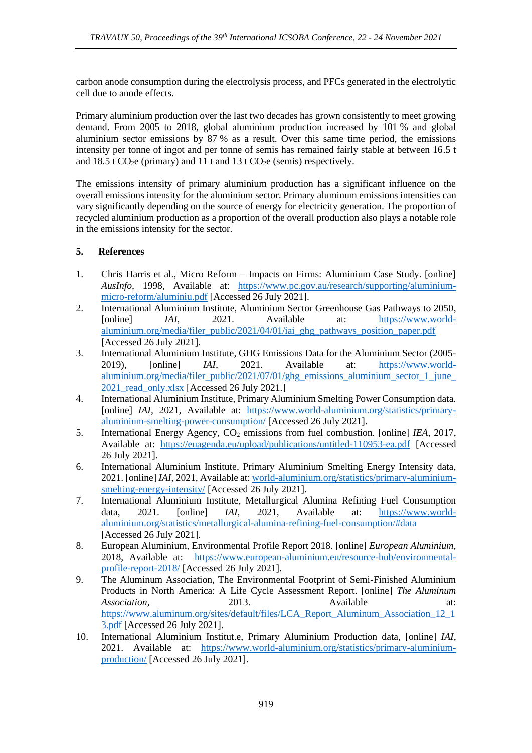carbon anode consumption during the electrolysis process, and PFCs generated in the electrolytic cell due to anode effects.

Primary aluminium production over the last two decades has grown consistently to meet growing demand. From 2005 to 2018, global aluminium production increased by 101 % and global aluminium sector emissions by 87 % as a result. Over this same time period, the emissions intensity per tonne of ingot and per tonne of semis has remained fairly stable at between 16.5 t and  $18.5$  t CO<sub>2</sub>e (primary) and  $11$  t and  $13$  t CO<sub>2</sub>e (semis) respectively.

The emissions intensity of primary aluminium production has a significant influence on the overall emissions intensity for the aluminium sector. Primary aluminum emissions intensities can vary significantly depending on the source of energy for electricity generation. The proportion of recycled aluminium production as a proportion of the overall production also plays a notable role in the emissions intensity for the sector.

### **5. References**

- 1. Chris Harris et al., Micro Reform Impacts on Firms: Aluminium Case Study. [online] *AusInfo,* 1998, Available at: [https://www.pc.gov.au/research/supporting/aluminium](https://www.pc.gov.au/research/supporting/aluminium-micro-reform/aluminiu.pdf)[micro-reform/aluminiu.pdf](https://www.pc.gov.au/research/supporting/aluminium-micro-reform/aluminiu.pdf) [Accessed 26 July 2021].
- 2. International Aluminium Institute, Aluminium Sector Greenhouse Gas Pathways to 2050, [online] *IAI,* 2021. Available at: [https://www.world](https://www.world-aluminium.org/media/filer_public/2021/04/01/iai_ghg_pathways_position_paper.pdf)[aluminium.org/media/filer\\_public/2021/04/01/iai\\_ghg\\_pathways\\_position\\_paper.pdf](https://www.world-aluminium.org/media/filer_public/2021/04/01/iai_ghg_pathways_position_paper.pdf) [Accessed 26 July 2021].
- 3. International Aluminium Institute, GHG Emissions Data for the Aluminium Sector (2005- 2019), [online] *IAI,* 2021. Available at: [https://www.world](https://www.world-aluminium.org/media/filer_public/2021/07/01/ghg_emissions_aluminium_sector_1_june_2021_read_only.xlsx)aluminium.org/media/filer\_public/2021/07/01/ghg\_emissions\_aluminium\_sector\_1\_june 2021 read\_only.xlsx [Accessed 26 July 2021.]
- 4. International Aluminium Institute, Primary Aluminium Smelting Power Consumption data. [online] *IAI*, 2021, Available at: [https://www.world-aluminium.org/statistics/primary](https://www.world-aluminium.org/statistics/primary-aluminium-smelting-power-consumption/)[aluminium-smelting-power-consumption/](https://www.world-aluminium.org/statistics/primary-aluminium-smelting-power-consumption/) [Accessed 26 July 2021].
- 5. International Energy Agency, CO<sup>2</sup> emissions from fuel combustion. [online] *IEA,* 2017, Available at: <https://euagenda.eu/upload/publications/untitled-110953-ea.pdf> [Accessed 26 July 2021].
- 6. International Aluminium Institute, Primary Aluminium Smelting Energy Intensity data, 2021. [online] *IAI,* 2021, Available at: [world-aluminium.org/statistics/primary-aluminium](https://intalu.sharepoint.com/sites/IAITeamSite/FoldersDocuments/Conferences/ICSOBA%202021%20GHG%20paper/world-aluminium.org/statistics/primary-aluminium-smelting-energy-intensity/)[smelting-energy-intensity/](https://intalu.sharepoint.com/sites/IAITeamSite/FoldersDocuments/Conferences/ICSOBA%202021%20GHG%20paper/world-aluminium.org/statistics/primary-aluminium-smelting-energy-intensity/) [Accessed 26 July 2021].
- 7. International Aluminium Institute, Metallurgical Alumina Refining Fuel Consumption data, 2021. [online] *IAI,* 2021, Available at: [https://www.world](https://www.world-aluminium.org/statistics/metallurgical-alumina-refining-fuel-consumption/#data)[aluminium.org/statistics/metallurgical-alumina-refining-fuel-consumption/#data](https://www.world-aluminium.org/statistics/metallurgical-alumina-refining-fuel-consumption/#data) [Accessed 26 July 2021].
- 8. European Aluminium, Environmental Profile Report 2018. [online] *European Aluminium,*  2018, Available at: [https://www.european-aluminium.eu/resource-hub/environmental](https://www.european-aluminium.eu/resource-hub/environmental-profile-report-2018/)[profile-report-2018/](https://www.european-aluminium.eu/resource-hub/environmental-profile-report-2018/) [Accessed 26 July 2021].
- 9. The Aluminum Association, The Environmental Footprint of Semi-Finished Aluminium Products in North America: A Life Cycle Assessment Report. [online] *The Aluminum Association.* 2013. Available at: [https://www.aluminum.org/sites/default/files/LCA\\_Report\\_Aluminum\\_Association\\_12\\_1](https://www.aluminum.org/sites/default/files/LCA_Report_Aluminum_Association_12_13.pdf) [3.pdf](https://www.aluminum.org/sites/default/files/LCA_Report_Aluminum_Association_12_13.pdf) [Accessed 26 July 2021].
- 10. International Aluminium Institut.e, Primary Aluminium Production data, [online] *IAI*, 2021. Available at: [https://www.world-aluminium.org/statistics/primary-aluminium](https://www.world-aluminium.org/statistics/primary-aluminium-production/)[production/](https://www.world-aluminium.org/statistics/primary-aluminium-production/) [Accessed 26 July 2021].